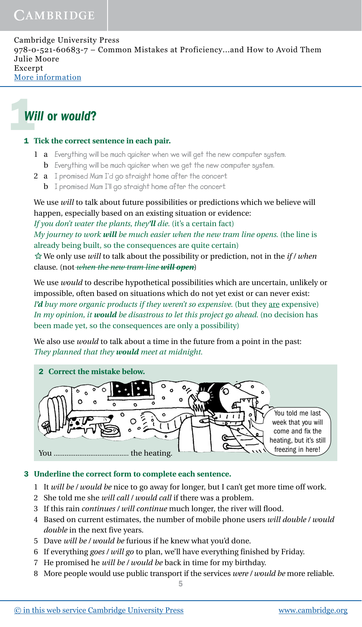# 1*Will* or *would*?

#### 1 **Tick the correct sentence in each pair.**

- 1 a **Everything will be much quicker when we will get the new computer system.**
	- b **Everything will be much quicker when we get the new computer system.**
- 2 a **I promised Mum I'd go straight home after the concert.**
	- b **I promised Mum I'll go straight home after the concert.**

We use *will* to talk about future possibilities or predictions which we believe will happen, especially based on an existing situation or evidence:

*If you don't water the plants, they'll die.* (it's a certain fact) *My journey to work will be much easier when the new tram line opens.* (the line is already being built, so the consequences are quite certain)

We only use *will* to talk about the possibility or prediction, not in the *if / when* clause. (not *when the new tram line will open*)

We use *would* to describe hypothetical possibilities which are uncertain, unlikely or impossible, often based on situations which do not yet exist or can never exist: *I'd buy more organic products if they weren't so expensive.* (but they are expensive) *In my opinion, it would be disastrous to let this project go ahead.* (no decision has been made yet, so the consequences are only a possibility)

We also use *would* to talk about a time in the future from a point in the past: *They planned that they would meet at midnight.*



## 3 **Underline the correct form to complete each sentence.**

- 1 It *will be / would be* nice to go away for longer, but I can't get more time off work.
- 2 She told me she *will call / would call* if there was a problem.
- 3 If this rain *continues / will continue* much longer, the river will flood.
- 4 Based on current estimates, the number of mobile phone users *will double / would double* in the next five years.
- 5 Dave *will be / would be* furious if he knew what you'd done.
- 6 If everything *goes / will go* to plan, we'll have everything finished by Friday.
- 7 He promised he *will be / would be* back in time for my birthday.
- 8 More people would use public transport if the services *were / would be* more reliable.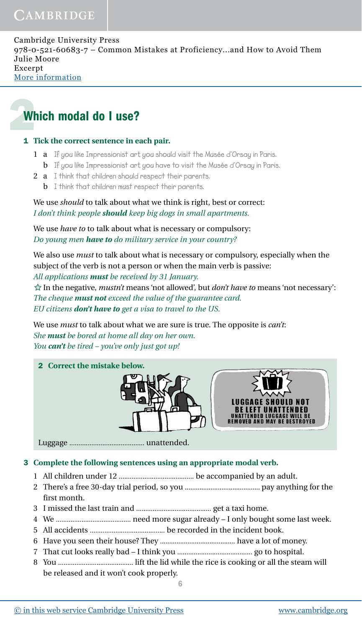# 2Which modal do I use?

## 1 **Tick the correct sentence in each pair.**

- 1 a **If you like Impressionist art, you should visit the Musée d'Orsay in Paris.** b **If you like Impressionist art, you have to visit the Musée d'Orsay in Paris.**
- 2 a **I think that children should respect their parents.**
	- b **I think that children must respect their parents.**

We use *should* to talk about what we think is right, best or correct: *I don't think people should keep big dogs in small apartments.*

We use *have to* to talk about what is necessary or compulsory: *Do young men have to do military service in your country?*

We also use *must* to talk about what is necessary or compulsory, especially when the subject of the verb is not a person or when the main verb is passive:

*All applications must be received by 31 January.*

In the negative, *mustn't* means 'not allowed', but *don't have to* means 'not necessary': *The cheque must not exceed the value of the guarantee card. EU citizens don't have to get a visa to travel to the US.*

We use *must* to talk about what we are sure is true. The opposite is *can't*: *She must be bored at home all day on her own. You can't be tired – you've only just got up!*



Luggage ......................................... unattended.

# 3 **Complete the following sentences using an appropriate modal verb.**

- 1 All children under 12 ......................................... be accompanied by an adult.
- 2 There's a free 30-day trial period, so you ......................................... pay anything for the first month.
- 3 I missed the last train and ......................................... get a taxi home.
- 4 We ......................................... need more sugar already I only bought some last week.
- 5 All accidents ......................................... be recorded in the incident book.
- 6 Have you seen their house? They ......................................... have a lot of money.
- 7 That cut looks really bad I think you ......................................... go to hospital.
- 8 You ......................................... lift the lid while the rice is cooking or all the steam will be released and it won't cook properly.

6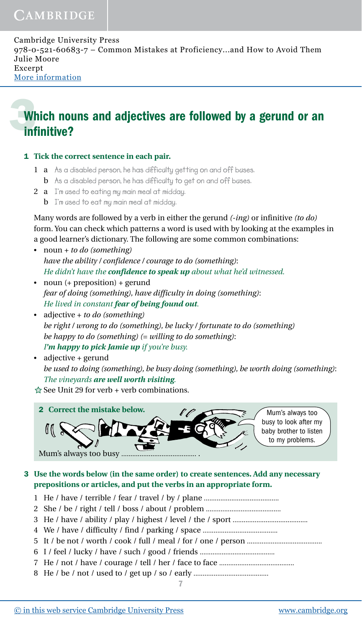# **Which nouns and adjectives are followed by a gerund or an** infinitive?

1 **Tick the correct sentence in each pair.**

- 1 a **As a disabled person, he has difficulty getting on and off buses.**
- b **As a disabled person, he has difficulty to get on and off buses.**
- 2 a **I'm used to eating my main meal at midday.**
	- b **I'm used to eat my main meal at midday.**

Many words are followed by a verb in either the gerund *(-ing)* or infinitive *(to do)* form. You can check which patterns a word is used with by looking at the examples in a good learner's dictionary. The following are some common combinations:

- noun + *to do (something) have the ability / confidence / courage to do (something)*: *He didn't have the confidence to speak up about what he'd witnessed.*
- noun (+ preposition) + gerund *fear of doing (something), have difficulty in doing (something)*: *He lived in constant fear of being found out.*
- adjective + *to do (something) be right / wrong to do (something), be lucky / fortunate to do (something) be happy to do (something) (= willing to do something)*: *I'm happy to pick Jamie up if you're busy.*
- adjective + gerund *be used to doing (something), be busy doing (something), be worth doing (something)*: *The vineyards are well worth visiting.*

 $\hat{\varphi}$  See Unit 29 for verb + verb combinations.



3 **Use the words below (in the same order) to create sentences. Add any necessary prepositions or articles, and put the verbs in an appropriate form.**

- 1 He / have / terrible / fear / travel / by / plane .........................................
- 2 She / be / right / tell / boss / about / problem .........................................
- 3 He / have / ability / play / highest / level / the / sport .........................................
- 4 We / have / difficulty / find / parking / space .........................................
- 5 It / be not / worth / cook / full / meal / for / one / person .........................................
- 6 I / feel / lucky / have / such / good / friends .........................................
- 7 He / not / have / courage / tell / her / face to face .........................................
- 8 He / be / not / used to / get up / so / early .........................................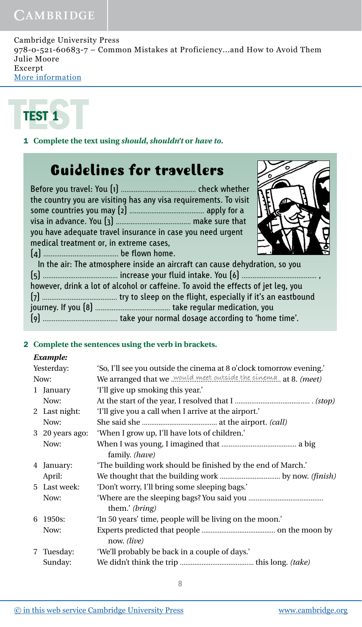# CAMBRIDGE

Cambridge University Press 978-0-521-60683-7 – Common Mistakes at Proficiency...and How to Avoid Them Julie Moore Excerpt [More information](http://www.cambridge.org/9780521606837)



1 **Complete the text using** *should***,** *shouldn't* **or** *have to***.**

# Guidelines for travellers

| the country you are visiting has any visa requirements. To visit |  |
|------------------------------------------------------------------|--|
|                                                                  |  |
|                                                                  |  |
| you have adequate travel insurance in case you need urgent       |  |
| medical treatment or, in extreme cases,                          |  |
|                                                                  |  |



In the air: The atmosphere inside an aircraft can cause dehydration, so you (5) ......................................... increase your fluid intake. You (6) ......................................... , however, drink a lot of alcohol or caffeine. To avoid the effects of jet leg, you (7) ......................................... try to sleep on the flight, especially if it's an eastbound journey. If you (8) ......................................... take regular medication, you (9) ......................................... take your normal dosage according to 'home time'.

### 2 **Complete the sentences using the verb in brackets.**

### *Example:*

|      | Yesterday:      | 'So, I'll see you outside the cinema at 8 o'clock tomorrow evening.' |  |  |
|------|-----------------|----------------------------------------------------------------------|--|--|
| Now: |                 | We arranged that we would meet outside the cinema. at 8. (meet)      |  |  |
|      | 1 January       | 'I'll give up smoking this year.'                                    |  |  |
|      | Now:            |                                                                      |  |  |
|      | 2 Last night:   | 'I'll give you a call when I arrive at the airport.'                 |  |  |
|      | Now:            |                                                                      |  |  |
|      | 3 20 years ago: | 'When I grow up, I'll have lots of children.'                        |  |  |
|      | Now:            | family. (have)                                                       |  |  |
|      | 4 January:      | 'The building work should be finished by the end of March.'          |  |  |
|      | April:          |                                                                      |  |  |
|      | 5 Last week:    | 'Don't worry, I'll bring some sleeping bags.'                        |  |  |
|      | Now:            | them.' (bring)                                                       |  |  |
|      | 6 1950s:        | 'In 50 years' time, people will be living on the moon.'              |  |  |
|      | Now:            | now. <i>(live)</i>                                                   |  |  |
|      | 7 Tuesday:      | 'We'll probably be back in a couple of days.'                        |  |  |
|      | Sunday:         |                                                                      |  |  |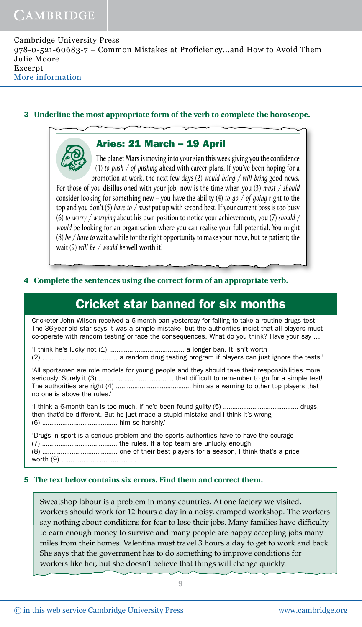Con

Cambridge University Press 978-0-521-60683-7 – Common Mistakes at Proficiency...and How to Avoid Them Julie Moore Excerpt [More information](http://www.cambridge.org/9780521606837)

### 3 **Underline the most appropriate form of the verb to complete the horoscope.**

## Aries: 21 March – 19 April

The planet Mars is moving into your sign this week giving you the confidence (1) *to push / of pushing* ahead with career plans. If you've been hoping for a promotion at work, the next few days (2) *would bring / will bring* good news.

For those of you disillusioned with your job, now is the time when you (3) *must / should* consider looking for something new – you have the ability (4) *to go / of going* right to the top and you don't (5) *have to / must* put up with second best. If your current boss is too busy (6) *to worry / worrying* about his own position to notice your achievements, you (7) *should / would* be looking for an organisation where you can realise your full potential. You might (8) *be / have to* wait a while for the right opportunity to make your move, but be patient; the wait (9) *will be / would be* well worth it!

### 4 **Complete the sentences using the correct form of an appropriate verb.**

# Cricket star banned for six months

Cricketer John Wilson received a 6-month ban yesterday for failing to take a routine drugs test. The 36-year-old star says it was a simple mistake, but the authorities insist that all players must co-operate with random testing or face the consequences. What do you think? Have your say …

'I think he's lucky not (1) ......................................... a longer ban. It isn't worth

(2) ......................................... a random drug testing program if players can just ignore the tests.'

'All sportsmen are role models for young people and they should take their responsibilities more seriously. Surely it (3) ......................................... that difficult to remember to go for a simple test! The authorities are right (4) ......................................... him as a warning to other top players that no one is above the rules.'

'I think a 6-month ban is too much. If he'd been found guilty (5) ......................................... drugs, then that'd be different. But he just made a stupid mistake and I think it's wrong (6) ......................................... him so harshly.'

'Drugs in sport is a serious problem and the sports authorities have to have the courage (7) ......................................... the rules. If a top team are unlucky enough (8) ......................................... one of their best players for a season, I think that's a price worth (9) ......................................... .'

### 5 **The text below contains six errors. Find them and correct them.**

Sweatshop labour is a problem in many countries. At one factory we visited, workers should work for 12 hours a day in a noisy, cramped workshop. The workers say nothing about conditions for fear to lose their jobs. Many families have difficulty to earn enough money to survive and many people are happy accepting jobs many miles from their homes. Valentina must travel 3 hours a day to get to work and back. She says that the government has to do something to improve conditions for workers like her, but she doesn't believe that things will change quickly.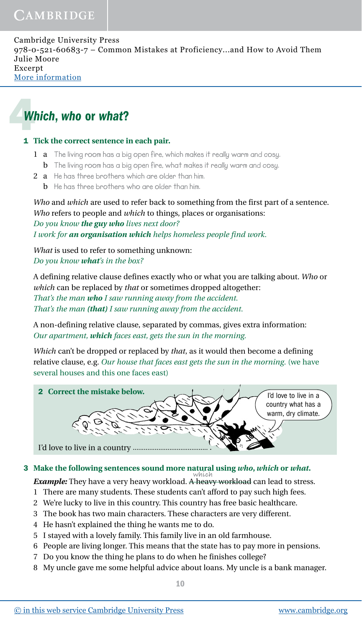# 4*Which*, *who* or *what*?

## 1 **Tick the correct sentence in each pair.**

- 1 a **The living room has a big open fire, which makes it really warm and cosy.** b **The living room has a big open fire, what makes it really warm and cosy.**
- 2 a **He has three brothers which are older than him.**
	- b **He has three brothers who are older than him.**

*Who* and *which* are used to refer back to something from the first part of a sentence. *Who* refers to people and *which* to things, places or organisations: *Do you know the guy who lives next door? I work for an organisation which helps homeless people find work.*

*What* is used to refer to something unknown: *Do you know what's in the box?*

A defining relative clause defines exactly who or what you are talking about. *Who* or *which* can be replaced by *that* or sometimes dropped altogether: *That's the man who I saw running away from the accident. That's the man (that) I saw running away from the accident.*

A non-defining relative clause, separated by commas, gives extra information: *Our apartment, which faces east, gets the sun in the morning.*

*Which* can't be dropped or replaced by *that*, as it would then become a defining relative clause, e.g. *Our house that faces east gets the sun in the morning*. (we have several houses and this one faces east)



# 3 **Make the following sentences sound more natural using** *who***,** *which* **or** *what***.**

*Example:* They have a very heavy workload. A heavy workload can lead to stress. **which**

- 1 There are many students. These students can't afford to pay such high fees.
- 2 We're lucky to live in this country. This country has free basic healthcare.
- 3 The book has two main characters. These characters are very different.
- 4 He hasn't explained the thing he wants me to do.
- 5 I stayed with a lovely family. This family live in an old farmhouse.
- 6 People are living longer. This means that the state has to pay more in pensions.
- 7 Do you know the thing he plans to do when he finishes college?
- 8 My uncle gave me some helpful advice about loans. My uncle is a bank manager.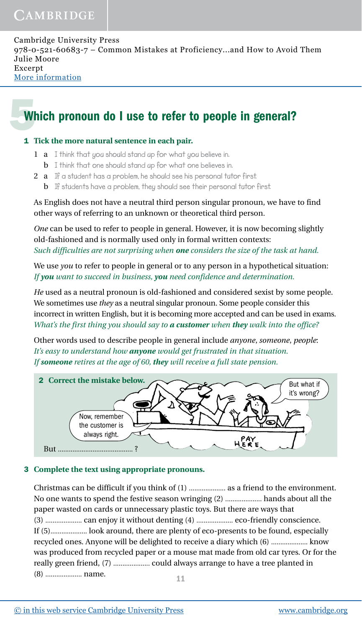# Which pronoun do I use to refer to people in general?

#### 1 **Tick the more natural sentence in each pair.**

- 1 a **I think that you should stand up for what you believe in.**
	- b **I think that one should stand up for what one believes in.**
- 2 a **If a student has a problem, he should see his personal tutor first.**
	- b **If students have a problem, they should see their personal tutor first.**

As English does not have a neutral third person singular pronoun, we have to find other ways of referring to an unknown or theoretical third person.

*One* can be used to refer to people in general. However, it is now becoming slightly old-fashioned and is normally used only in formal written contexts: *Such difficulties are not surprising when one considers the size of the task at hand.*

We use *you* to refer to people in general or to any person in a hypothetical situation: *If you want to succeed in business, you need confidence and determination.*

*He* used as a neutral pronoun is old-fashioned and considered sexist by some people. We sometimes use *they* as a neutral singular pronoun. Some people consider this incorrect in written English, but it is becoming more accepted and can be used in exams. *What's the first thing you should say to a customer when they walk into the office?*

Other words used to describe people in general include *anyone*, *someone*, *people*: *It's easy to understand how anyone would get frustrated in that situation. If someone retires at the age of 60, they will receive a full state pension.*



### 3 **Complete the text using appropriate pronouns.**

Christmas can be difficult if you think of (1) .................... as a friend to the environment. No one wants to spend the festive season wringing (2) .................... hands about all the paper wasted on cards or unnecessary plastic toys. But there are ways that (3) .................... can enjoy it without denting (4) .................... eco-friendly conscience. If (5).................... look around, there are plenty of eco-presents to be found, especially recycled ones. Anyone will be delighted to receive a diary which (6) .................... know was produced from recycled paper or a mouse mat made from old car tyres. Or for the really green friend, (7) .................... could always arrange to have a tree planted in (8) .................... name.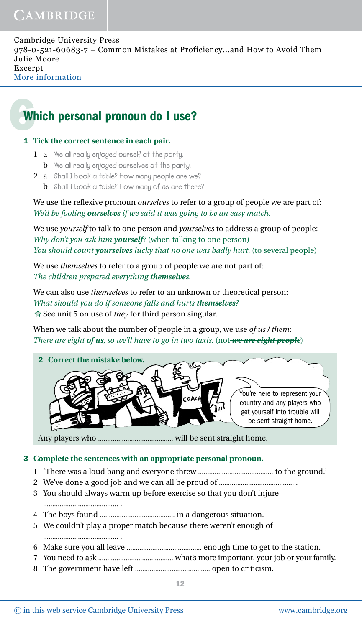# 6Which personal pronoun do I use?

#### 1 **Tick the correct sentence in each pair.**

- 1 a **We all really enjoyed ourself at the party.**
	- b **We all really enjoyed ourselves at the party.**
- 2 a **Shall I book a table? How many people are we?**
	- b **Shall I book a table? How many of us are there?**

We use the reflexive pronoun *ourselves* to refer to a group of people we are part of: *We'd be fooling ourselves if we said it was going to be an easy match.*

We use *yourself* to talk to one person and *yourselves* to address a group of people: *Why don't you ask him yourself?* (when talking to one person) *You should count yourselves lucky that no one was badly hurt.* (to several people)

We use *themselves* to refer to a group of people we are not part of: *The children prepared everything themselves.*

We can also use *themselves* to refer to an unknown or theoretical person: *What should you do if someone falls and hurts themselves?*  $\hat{\varphi}$  See unit 5 on use of *they* for third person singular.

When we talk about the number of people in a group, we use *of us / them*: *There are eight of us, so we'll have to go in two taxis.* (not *we are eight people*)



Any players who ......................................... will be sent straight home.

### 3 **Complete the sentences with an appropriate personal pronoun.**

- 1 'There was a loud bang and everyone threw ......................................... to the ground.'
- 2 We've done a good job and we can all be proud of ......................................... .
- 3 You should always warm up before exercise so that you don't injure
	- ......................................... .

......................................... .

- 4 The boys found ......................................... in a dangerous situation.
- 5 We couldn't play a proper match because there weren't enough of
- 6 Make sure you all leave ......................................... enough time to get to the station.
- 7 You need to ask ......................................... what's more important, your job or your family.
- 8 The government have left ......................................... open to criticism.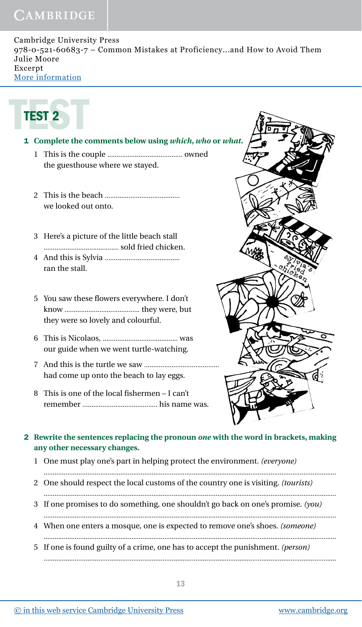# CAMBRIDGE

Cambridge University Press 978-0-521-60683-7 – Common Mistakes at Proficiency...and How to Avoid Them Julie Moore Excerpt [More information](http://www.cambridge.org/9780521606837)

$$
\begin{array}{|c|c|}\n\hline\n\text{TEST 2}\n\end{array}
$$

# 1 **Complete the comments below using** *which***,** *who* **or** *what***.**

- 1 This is the couple ......................................... owned the guesthouse where we stayed.
- 2 This is the beach ......................................... we looked out onto.
- 3 Here's a picture of the little beach stall ......................................... sold fried chicken.
- 4 And this is Sylvia ......................................... ran the stall.
- 5 You saw these flowers everywhere. I don't know ......................................... they were, but they were so lovely and colourful.
- 6 This is Nicolaos, ......................................... was our guide when we went turtle-watching.
- 7 And this is the turtle we saw ......................................... had come up onto the beach to lay eggs.
- 8 This is one of the local fishermen I can't remember ......................................... his name was.



## 2 **Rewrite the sentences replacing the pronoun** *one* **with the word in brackets, making any other necessary changes.**

1 One must play one's part in helping protect the environment. *(everyone)*

................................................................................................................................................................

- 2 One should respect the local customs of the country one is visiting. *(tourists)*
- ................................................................................................................................................................ 3 If one promises to do something, one shouldn't go back on one's promise. *(you)* ................................................................................................................................................................
- 4 When one enters a mosque, one is expected to remove one's shoes. *(someone)* ................................................................................................................................................................
- 5 If one is found guilty of a crime, one has to accept the punishment. *(person)* ................................................................................................................................................................